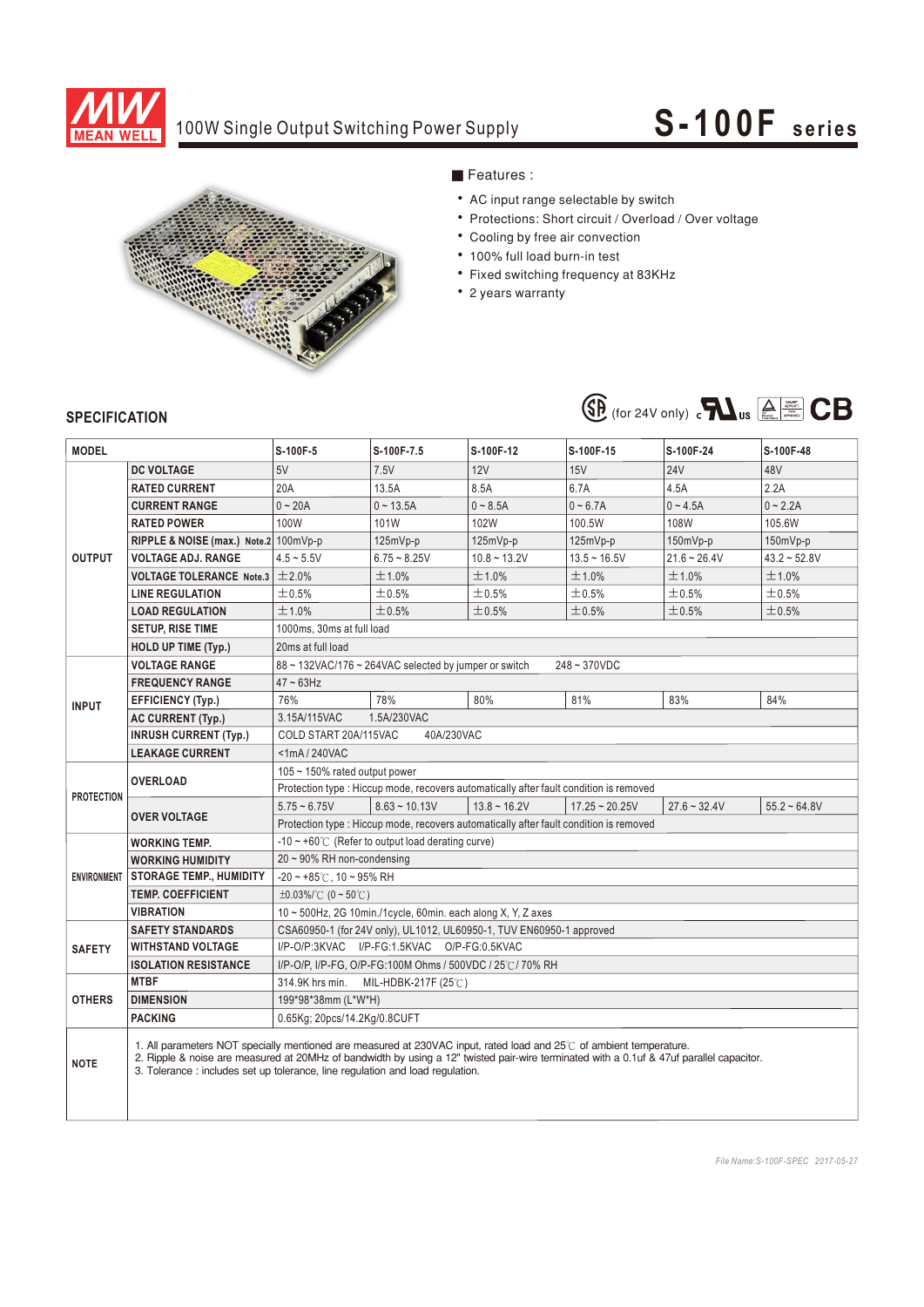

## 100W Single Output Switching Power Supply

# **S-100F seri es**



### ■ Features :

- AC input range selectable by switch
- Protections: Short circuit / Overload / Over voltage
- Cooling by free air convection
- 100% full load burn-in test
- Fixed switching frequency at 83KHz
- 2 years warranty



#### **SPECIFICATION**

| <b>MODEL</b>       |                                                                                                                                                                                                                                                                                                                                                  | S-100F-5                                                                               | S-100F-7.5      | S-100F-12         | S-100F-15        | S-100F-24      | S-100F-48      |
|--------------------|--------------------------------------------------------------------------------------------------------------------------------------------------------------------------------------------------------------------------------------------------------------------------------------------------------------------------------------------------|----------------------------------------------------------------------------------------|-----------------|-------------------|------------------|----------------|----------------|
| <b>OUTPUT</b>      | <b>DC VOLTAGE</b>                                                                                                                                                                                                                                                                                                                                | 5V                                                                                     | 7.5V            | 12V               | 15V              | <b>24V</b>     | 48V            |
|                    | <b>RATED CURRENT</b>                                                                                                                                                                                                                                                                                                                             | 20A                                                                                    | 13.5A           | 8.5A              | 6.7A             | 4.5A           | 2.2A           |
|                    | <b>CURRENT RANGE</b>                                                                                                                                                                                                                                                                                                                             | $0 - 20A$                                                                              | $0 \sim 13.5A$  | $0 - 8.5A$        | $0 - 6.7A$       | $0 - 4.5A$     | $0 - 2.2A$     |
|                    | <b>RATED POWER</b>                                                                                                                                                                                                                                                                                                                               | 100W                                                                                   | 101W            | 102W              | 100.5W           | 108W           | 105.6W         |
|                    | RIPPLE & NOISE (max.) Note.2 100mVp-p                                                                                                                                                                                                                                                                                                            |                                                                                        | $125mVp-p$      | $125mVp-p$        | $125mVp-p$       | $150mVp-p$     | 150mVp-p       |
|                    | <b>VOLTAGE ADJ. RANGE</b>                                                                                                                                                                                                                                                                                                                        | $4.5 - 5.5V$                                                                           | $6.75 - 8.25V$  | $10.8 - 13.2V$    | $13.5 - 16.5V$   | $21.6 - 26.4V$ | $43.2 - 52.8V$ |
|                    | <b>VOLTAGE TOLERANCE Note.3</b>                                                                                                                                                                                                                                                                                                                  | $\pm 2.0\%$                                                                            | $\pm$ 1.0%      | ±1.0%             | ±1.0%            | ±1.0%          | ±1.0%          |
|                    | <b>LINE REGULATION</b>                                                                                                                                                                                                                                                                                                                           | ±0.5%                                                                                  | $\pm$ 0.5%      | ±0.5%             | ±0.5%            | ±0.5%          | $\pm$ 0.5%     |
|                    | <b>LOAD REGULATION</b>                                                                                                                                                                                                                                                                                                                           | ±1.0%                                                                                  | $\pm$ 0.5%      | ±0.5%             | $\pm$ 0.5%       | ±0.5%          | ±0.5%          |
|                    | <b>SETUP, RISE TIME</b>                                                                                                                                                                                                                                                                                                                          | 1000ms, 30ms at full load                                                              |                 |                   |                  |                |                |
|                    | <b>HOLD UP TIME (Typ.)</b>                                                                                                                                                                                                                                                                                                                       | 20ms at full load                                                                      |                 |                   |                  |                |                |
| <b>INPUT</b>       | <b>VOLTAGE RANGE</b>                                                                                                                                                                                                                                                                                                                             | 88 ~ 132VAC/176 ~ 264VAC selected by jumper or switch<br>248~370VDC                    |                 |                   |                  |                |                |
|                    | <b>FREQUENCY RANGE</b>                                                                                                                                                                                                                                                                                                                           | $47 \sim 63$ Hz                                                                        |                 |                   |                  |                |                |
|                    | <b>EFFICIENCY (Typ.)</b>                                                                                                                                                                                                                                                                                                                         | 76%                                                                                    | 78%             | 80%               | 81%              | 83%            | 84%            |
|                    | <b>AC CURRENT (Typ.)</b>                                                                                                                                                                                                                                                                                                                         | 3.15A/115VAC<br>1.5A/230VAC                                                            |                 |                   |                  |                |                |
|                    | <b>INRUSH CURRENT (Typ.)</b>                                                                                                                                                                                                                                                                                                                     | COLD START 20A/115VAC<br>40A/230VAC                                                    |                 |                   |                  |                |                |
|                    | <b>LEAKAGE CURRENT</b>                                                                                                                                                                                                                                                                                                                           | $<$ 1mA $/$ 240VAC                                                                     |                 |                   |                  |                |                |
| <b>PROTECTION</b>  | <b>OVERLOAD</b>                                                                                                                                                                                                                                                                                                                                  | 105 $\sim$ 150% rated output power                                                     |                 |                   |                  |                |                |
|                    |                                                                                                                                                                                                                                                                                                                                                  | Protection type : Hiccup mode, recovers automatically after fault condition is removed |                 |                   |                  |                |                |
|                    | <b>OVER VOLTAGE</b>                                                                                                                                                                                                                                                                                                                              | $5.75 - 6.75V$                                                                         | $8.63 - 10.13V$ | $13.8 \sim 16.2V$ | $17.25 - 20.25V$ | $27.6 - 32.4V$ | $55.2 - 64.8V$ |
|                    |                                                                                                                                                                                                                                                                                                                                                  | Protection type : Hiccup mode, recovers automatically after fault condition is removed |                 |                   |                  |                |                |
| <b>ENVIRONMENT</b> | <b>WORKING TEMP.</b>                                                                                                                                                                                                                                                                                                                             | -10 $\sim$ +60°C (Refer to output load derating curve)                                 |                 |                   |                  |                |                |
|                    | <b>WORKING HUMIDITY</b>                                                                                                                                                                                                                                                                                                                          | $20 \sim 90\%$ RH non-condensing                                                       |                 |                   |                  |                |                |
|                    | <b>STORAGE TEMP., HUMIDITY</b>                                                                                                                                                                                                                                                                                                                   | $-20 \sim +85^{\circ}$ C, 10 ~ 95% RH                                                  |                 |                   |                  |                |                |
|                    | <b>TEMP. COEFFICIENT</b>                                                                                                                                                                                                                                                                                                                         | $\pm 0.03\%$ (0 ~ 50°C)                                                                |                 |                   |                  |                |                |
|                    | <b>VIBRATION</b>                                                                                                                                                                                                                                                                                                                                 | $10 \sim 500$ Hz, 2G 10min./1cycle, 60min. each along X, Y, Z axes                     |                 |                   |                  |                |                |
| <b>SAFETY</b>      | <b>SAFETY STANDARDS</b>                                                                                                                                                                                                                                                                                                                          | CSA60950-1 (for 24V only), UL1012, UL60950-1, TUV EN60950-1 approved                   |                 |                   |                  |                |                |
|                    | <b>WITHSTAND VOLTAGE</b>                                                                                                                                                                                                                                                                                                                         | I/P-O/P:3KVAC I/P-FG:1.5KVAC O/P-FG:0.5KVAC                                            |                 |                   |                  |                |                |
|                    | <b>ISOLATION RESISTANCE</b>                                                                                                                                                                                                                                                                                                                      | I/P-O/P, I/P-FG, O/P-FG:100M Ohms / 500VDC / 25°C / 70% RH                             |                 |                   |                  |                |                |
| <b>OTHERS</b>      | <b>MTBF</b>                                                                                                                                                                                                                                                                                                                                      | 314.9K hrs min.<br>MIL-HDBK-217F $(25^{\circ}$ C)                                      |                 |                   |                  |                |                |
|                    | <b>DIMENSION</b>                                                                                                                                                                                                                                                                                                                                 | 199*98*38mm (L*W*H)                                                                    |                 |                   |                  |                |                |
|                    | <b>PACKING</b>                                                                                                                                                                                                                                                                                                                                   | 0.65Kg; 20pcs/14.2Kg/0.8CUFT                                                           |                 |                   |                  |                |                |
| <b>NOTE</b>        | 1. All parameters NOT specially mentioned are measured at 230VAC input, rated load and 25°C of ambient temperature.<br>2. Ripple & noise are measured at 20MHz of bandwidth by using a 12" twisted pair-wire terminated with a 0.1uf & 47uf parallel capacitor.<br>3. Tolerance: includes set up tolerance, line regulation and load regulation. |                                                                                        |                 |                   |                  |                |                |